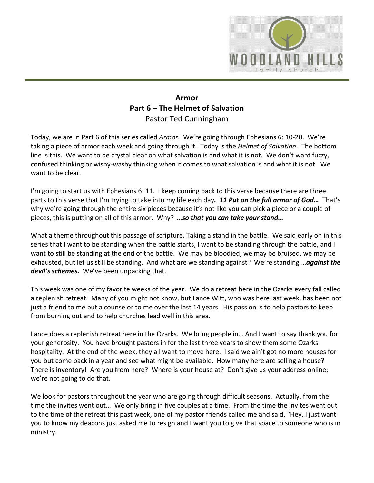

## **Armor Part 6 – The Helmet of Salvation** Pastor Ted Cunningham

Today, we are in Part 6 of this series called *Armor*. We're going through Ephesians 6: 10-20. We're taking a piece of armor each week and going through it. Today is the *Helmet of Salvation*. The bottom line is this. We want to be crystal clear on what salvation is and what it is not. We don't want fuzzy, confused thinking or wishy-washy thinking when it comes to what salvation is and what it is not. We want to be clear.

I'm going to start us with Ephesians 6: 11. I keep coming back to this verse because there are three parts to this verse that I'm trying to take into my life each day*. 11 Put on the full armor of God…* That's why we're going through the entire six pieces because it's not like you can pick a piece or a couple of pieces, this is putting on all of this armor. Why? *…so that you can take your stand…*

What a theme throughout this passage of scripture. Taking a stand in the battle. We said early on in this series that I want to be standing when the battle starts, I want to be standing through the battle, and I want to still be standing at the end of the battle. We may be bloodied, we may be bruised, we may be exhausted, but let us still be standing. And what are we standing against? We're standing …*against the devil's schemes.* We've been unpacking that.

This week was one of my favorite weeks of the year. We do a retreat here in the Ozarks every fall called a replenish retreat. Many of you might not know, but Lance Witt, who was here last week, has been not just a friend to me but a counselor to me over the last 14 years. His passion is to help pastors to keep from burning out and to help churches lead well in this area.

Lance does a replenish retreat here in the Ozarks. We bring people in… And I want to say thank you for your generosity. You have brought pastors in for the last three years to show them some Ozarks hospitality. At the end of the week, they all want to move here. I said we ain't got no more houses for you but come back in a year and see what might be available. How many here are selling a house? There is inventory! Are you from here? Where is your house at? Don't give us your address online; we're not going to do that.

We look for pastors throughout the year who are going through difficult seasons. Actually, from the time the invites went out… We only bring in five couples at a time. From the time the invites went out to the time of the retreat this past week, one of my pastor friends called me and said, "Hey, I just want you to know my deacons just asked me to resign and I want you to give that space to someone who is in ministry.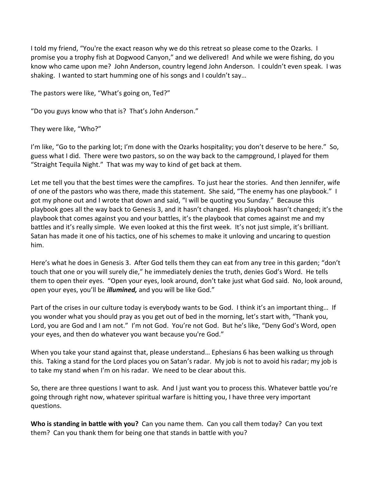I told my friend, "You're the exact reason why we do this retreat so please come to the Ozarks. I promise you a trophy fish at Dogwood Canyon," and we delivered! And while we were fishing, do you know who came upon me? John Anderson, country legend John Anderson. I couldn't even speak. I was shaking. I wanted to start humming one of his songs and I couldn't say…

The pastors were like, "What's going on, Ted?"

"Do you guys know who that is? That's John Anderson."

## They were like, "Who?"

I'm like, "Go to the parking lot; I'm done with the Ozarks hospitality; you don't deserve to be here." So, guess what I did. There were two pastors, so on the way back to the campground, I played for them "Straight Tequila Night." That was my way to kind of get back at them.

Let me tell you that the best times were the campfires. To just hear the stories. And then Jennifer, wife of one of the pastors who was there, made this statement. She said, "The enemy has one playbook." I got my phone out and I wrote that down and said, "I will be quoting you Sunday." Because this playbook goes all the way back to Genesis 3, and it hasn't changed. His playbook hasn't changed; it's the playbook that comes against you and your battles, it's the playbook that comes against me and my battles and it's really simple. We even looked at this the first week. It's not just simple, it's brilliant. Satan has made it one of his tactics, one of his schemes to make it unloving and uncaring to question him.

Here's what he does in Genesis 3. After God tells them they can eat from any tree in this garden; "don't touch that one or you will surely die," he immediately denies the truth, denies God's Word. He tells them to open their eyes. "Open your eyes, look around, don't take just what God said. No, look around, open your eyes, you'll be *illumined,* and you will be like God."

Part of the crises in our culture today is everybody wants to be God. I think it's an important thing… If you wonder what you should pray as you get out of bed in the morning, let's start with, "Thank you, Lord, you are God and I am not." I'm not God. You're not God. But he's like, "Deny God's Word, open your eyes, and then do whatever you want because you're God."

When you take your stand against that, please understand… Ephesians 6 has been walking us through this. Taking a stand for the Lord places you on Satan's radar. My job is not to avoid his radar; my job is to take my stand when I'm on his radar. We need to be clear about this.

So, there are three questions I want to ask. And I just want you to process this. Whatever battle you're going through right now, whatever spiritual warfare is hitting you, I have three very important questions.

**Who is standing in battle with you?** Can you name them. Can you call them today? Can you text them? Can you thank them for being one that stands in battle with you?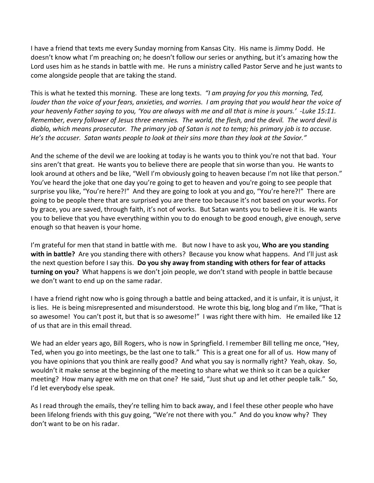I have a friend that texts me every Sunday morning from Kansas City. His name is Jimmy Dodd. He doesn't know what I'm preaching on; he doesn't follow our series or anything, but it's amazing how the Lord uses him as he stands in battle with me. He runs a ministry called Pastor Serve and he just wants to come alongside people that are taking the stand.

This is what he texted this morning. These are long texts. *"I am praying for you this morning, Ted, louder than the voice of your fears, anxieties, and worries. I am praying that you would hear the voice of your heavenly Father saying to you, 'You are always with me and all that is mine is yours.' -Luke 15:11. Remember, every follower of Jesus three enemies. The world, the flesh, and the devil. The word devil is diablo, which means prosecutor. The primary job of Satan is not to temp; his primary job is to accuse. He's the accuser. Satan wants people to look at their sins more than they look at the Savior."*

And the scheme of the devil we are looking at today is he wants you to think you're not that bad. Your sins aren't that great. He wants you to believe there are people that sin worse than you. He wants to look around at others and be like, "Well I'm obviously going to heaven because I'm not like that person." You've heard the joke that one day you're going to get to heaven and you're going to see people that surprise you like, "You're here?!" And they are going to look at you and go, "You're here?!" There are going to be people there that are surprised you are there too because it's not based on your works. For by grace, you are saved, through faith, it's not of works. But Satan wants you to believe it is. He wants you to believe that you have everything within you to do enough to be good enough, give enough, serve enough so that heaven is your home.

I'm grateful for men that stand in battle with me. But now I have to ask you, **Who are you standing with in battle?** Are you standing there with others? Because you know what happens. And I'll just ask the next question before I say this. **Do you shy away from standing with others for fear of attacks turning on you?** What happens is we don't join people, we don't stand with people in battle because we don't want to end up on the same radar.

I have a friend right now who is going through a battle and being attacked, and it is unfair, it is unjust, it is lies. He is being misrepresented and misunderstood. He wrote this big, long blog and I'm like, "That is so awesome! You can't post it, but that is so awesome!" I was right there with him. He emailed like 12 of us that are in this email thread.

We had an elder years ago, Bill Rogers, who is now in Springfield. I remember Bill telling me once, "Hey, Ted, when you go into meetings, be the last one to talk." This is a great one for all of us. How many of you have opinions that you think are really good? And what you say is normally right? Yeah, okay. So, wouldn't it make sense at the beginning of the meeting to share what we think so it can be a quicker meeting? How many agree with me on that one? He said, "Just shut up and let other people talk." So, I'd let everybody else speak.

As I read through the emails, they're telling him to back away, and I feel these other people who have been lifelong friends with this guy going, "We're not there with you." And do you know why? They don't want to be on his radar.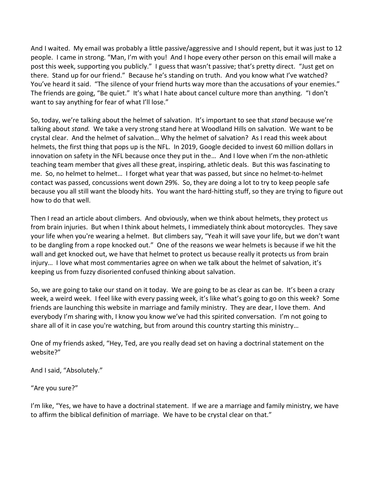And I waited. My email was probably a little passive/aggressive and I should repent, but it was just to 12 people. I came in strong. "Man, I'm with you! And I hope every other person on this email will make a post this week, supporting you publicly." I guess that wasn't passive; that's pretty direct. "Just get on there. Stand up for our friend." Because he's standing on truth. And you know what I've watched? You've heard it said. "The silence of your friend hurts way more than the accusations of your enemies." The friends are going, "Be quiet." It's what I hate about cancel culture more than anything. "I don't want to say anything for fear of what I'll lose."

So, today, we're talking about the helmet of salvation. It's important to see that *stand* because we're talking about *stand.* We take a very strong stand here at Woodland Hills on salvation. We want to be crystal clear. And the helmet of salvation… Why the helmet of salvation? As I read this week about helmets, the first thing that pops up is the NFL. In 2019, Google decided to invest 60 million dollars in innovation on safety in the NFL because once they put in the… And I love when I'm the non-athletic teaching team member that gives all these great, inspiring, athletic deals. But this was fascinating to me. So, no helmet to helmet… I forget what year that was passed, but since no helmet-to-helmet contact was passed, concussions went down 29%. So, they are doing a lot to try to keep people safe because you all still want the bloody hits. You want the hard-hitting stuff, so they are trying to figure out how to do that well.

Then I read an article about climbers. And obviously, when we think about helmets, they protect us from brain injuries. But when I think about helmets, I immediately think about motorcycles. They save your life when you're wearing a helmet. But climbers say, "Yeah it will save your life, but we don't want to be dangling from a rope knocked out." One of the reasons we wear helmets is because if we hit the wall and get knocked out, we have that helmet to protect us because really it protects us from brain injury… I love what most commentaries agree on when we talk about the helmet of salvation, it's keeping us from fuzzy disoriented confused thinking about salvation.

So, we are going to take our stand on it today. We are going to be as clear as can be. It's been a crazy week, a weird week. I feel like with every passing week, it's like what's going to go on this week? Some friends are launching this website in marriage and family ministry. They are dear, I love them. And everybody I'm sharing with, I know you know we've had this spirited conversation. I'm not going to share all of it in case you're watching, but from around this country starting this ministry…

One of my friends asked, "Hey, Ted, are you really dead set on having a doctrinal statement on the website?"

And I said, "Absolutely."

"Are you sure?"

I'm like, "Yes, we have to have a doctrinal statement. If we are a marriage and family ministry, we have to affirm the biblical definition of marriage. We have to be crystal clear on that."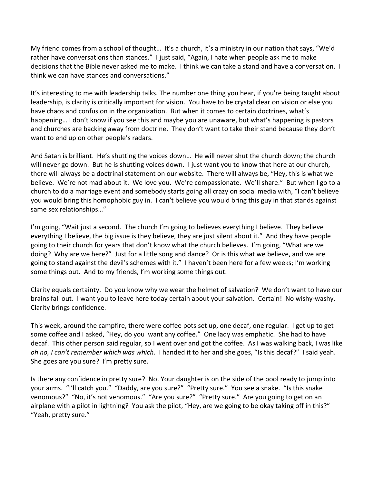My friend comes from a school of thought… It's a church, it's a ministry in our nation that says, "We'd rather have conversations than stances." I just said, "Again, I hate when people ask me to make decisions that the Bible never asked me to make. I think we can take a stand and have a conversation. I think we can have stances and conversations."

It's interesting to me with leadership talks. The number one thing you hear, if you're being taught about leadership, is clarity is critically important for vision. You have to be crystal clear on vision or else you have chaos and confusion in the organization. But when it comes to certain doctrines, what's happening… I don't know if you see this and maybe you are unaware, but what's happening is pastors and churches are backing away from doctrine. They don't want to take their stand because they don't want to end up on other people's radars.

And Satan is brilliant. He's shutting the voices down… He will never shut the church down; the church will never go down. But he is shutting voices down. I just want you to know that here at our church, there will always be a doctrinal statement on our website. There will always be, "Hey, this is what we believe. We're not mad about it. We love you. We're compassionate. We'll share." But when I go to a church to do a marriage event and somebody starts going all crazy on social media with, "I can't believe you would bring this homophobic guy in. I can't believe you would bring this guy in that stands against same sex relationships…"

I'm going, "Wait just a second. The church I'm going to believes everything I believe. They believe everything I believe, the big issue is they believe, they are just silent about it." And they have people going to their church for years that don't know what the church believes. I'm going, "What are we doing? Why are we here?" Just for a little song and dance? Or is this what we believe, and we are going to stand against the devil's schemes with it." I haven't been here for a few weeks; I'm working some things out. And to my friends, I'm working some things out.

Clarity equals certainty. Do you know why we wear the helmet of salvation? We don't want to have our brains fall out. I want you to leave here today certain about your salvation. Certain! No wishy-washy. Clarity brings confidence.

This week, around the campfire, there were coffee pots set up, one decaf, one regular. I get up to get some coffee and I asked, "Hey, do you want any coffee." One lady was emphatic. She had to have decaf. This other person said regular, so I went over and got the coffee. As I was walking back, I was like *oh no, I can't remember which was which*. I handed it to her and she goes, "Is this decaf?" I said yeah. She goes are you sure? I'm pretty sure.

Is there any confidence in pretty sure? No. Your daughter is on the side of the pool ready to jump into your arms. "I'll catch you." "Daddy, are you sure?" "Pretty sure." You see a snake. "Is this snake venomous?" "No, it's not venomous." "Are you sure?" "Pretty sure." Are you going to get on an airplane with a pilot in lightning? You ask the pilot, "Hey, are we going to be okay taking off in this?" "Yeah, pretty sure."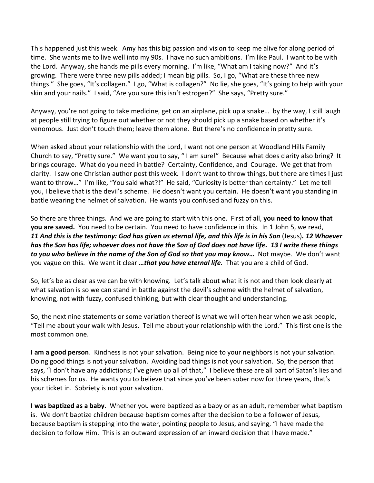This happened just this week. Amy has this big passion and vision to keep me alive for along period of time. She wants me to live well into my 90s. I have no such ambitions. I'm like Paul. I want to be with the Lord. Anyway, she hands me pills every morning. I'm like, "What am I taking now?" And it's growing. There were three new pills added; I mean big pills. So, I go, "What are these three new things." She goes, "It's collagen." I go, "What is collagen?" No lie, she goes, "It's going to help with your skin and your nails." I said, "Are you sure this isn't estrogen?" She says, "Pretty sure."

Anyway, you're not going to take medicine, get on an airplane, pick up a snake… by the way, I still laugh at people still trying to figure out whether or not they should pick up a snake based on whether it's venomous. Just don't touch them; leave them alone. But there's no confidence in pretty sure.

When asked about your relationship with the Lord, I want not one person at Woodland Hills Family Church to say, "Pretty sure." We want you to say, " I am sure!" Because what does clarity also bring? It brings courage. What do you need in battle? Certainty, Confidence, and Courage. We get that from clarity. I saw one Christian author post this week. I don't want to throw things, but there are times I just want to throw…" I'm like, "You said what?!" He said, "Curiosity is better than certainty." Let me tell you, I believe that is the devil's scheme. He doesn't want you certain. He doesn't want you standing in battle wearing the helmet of salvation. He wants you confused and fuzzy on this.

So there are three things. And we are going to start with this one. First of all, **you need to know that you are saved.** You need to be certain. You need to have confidence in this. In 1 John 5, we read, *11 And this is the testimony: God has given us eternal life, and this life is in his Son* (Jesus)*. 12 Whoever has the Son has life; whoever does not have the Son of God does not have life. 13 I write these things to you who believe in the name of the Son of God so that you may know…* Not maybe. We don't want you vague on this. We want it clear *…that you have eternal life.* That you are a child of God.

So, let's be as clear as we can be with knowing. Let's talk about what it is not and then look clearly at what salvation is so we can stand in battle against the devil's scheme with the helmet of salvation, knowing, not with fuzzy, confused thinking, but with clear thought and understanding.

So, the next nine statements or some variation thereof is what we will often hear when we ask people, "Tell me about your walk with Jesus. Tell me about your relationship with the Lord." This first one is the most common one.

**I am a good person**. Kindness is not your salvation. Being nice to your neighbors is not your salvation. Doing good things is not your salvation. Avoiding bad things is not your salvation. So, the person that says, "I don't have any addictions; I've given up all of that," I believe these are all part of Satan's lies and his schemes for us. He wants you to believe that since you've been sober now for three years, that's your ticket in. Sobriety is not your salvation.

**I was baptized as a baby**. Whether you were baptized as a baby or as an adult, remember what baptism is. We don't baptize children because baptism comes after the decision to be a follower of Jesus, because baptism is stepping into the water, pointing people to Jesus, and saying, "I have made the decision to follow Him. This is an outward expression of an inward decision that I have made."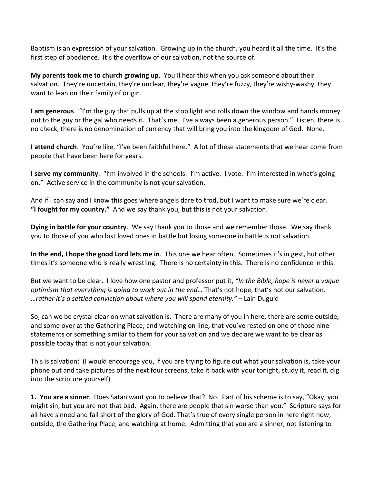Baptism is an expression of your salvation. Growing up in the church, you heard it all the time. It's the first step of obedience. It's the overflow of our salvation, not the source of.

**My parents took me to church growing up**. You'll hear this when you ask someone about their salvation. They're uncertain, they're unclear, they're vague, they're fuzzy, they're wishy-washy, they want to lean on their family of origin.

**I am generous**. "I'm the guy that pulls up at the stop light and rolls down the window and hands money out to the guy or the gal who needs it. That's me. I've always been a generous person." Listen, there is no check, there is no denomination of currency that will bring you into the kingdom of God. None.

**I attend church**. You're like, "I've been faithful here." A lot of these statements that we hear come from people that have been here for years.

**I serve my community**. "I'm involved in the schools. I'm active. I vote. I'm interested in what's going on." Active service in the community is not your salvation.

And if I can say and I know this goes where angels dare to trod, but I want to make sure we're clear. **"I fought for my country."** And we say thank you, but this is not your salvation.

**Dying in battle for your country**. We say thank you to those and we remember those. We say thank you to those of you who lost loved ones in battle but losing someone in battle is not salvation.

**In the end, I hope the good Lord lets me in**. This one we hear often. Sometimes it's in gest, but other times it's someone who is really wrestling. There is no certainty in this. There is no confidence in this.

But we want to be clear. I love how one pastor and professor put it, *"In the Bible, hope is never a vague optimism that everything is going to work out in the end…* That's not hope, that's not our salvation. …*rather it's a settled conviction about where you will spend eternity."* – Lain Duguid

So, can we be crystal clear on what salvation is. There are many of you in here, there are some outside, and some over at the Gathering Place, and watching on line, that you've rested on one of those nine statements or something similar to them for your salvation and we declare we want to be clear as possible today that is not your salvation.

This is salvation: (I would encourage you, if you are trying to figure out what your salvation is, take your phone out and take pictures of the next four screens, take it back with your tonight, study it, read it, dig into the scripture yourself)

**1. You are a sinner**. Does Satan want you to believe that? No. Part of his scheme is to say, "Okay, you might sin, but you are not that bad. Again, there are people that sin worse than you." Scripture says for all have sinned and fall short of the glory of God. That's true of every single person in here right now, outside, the Gathering Place, and watching at home. Admitting that you are a sinner, not listening to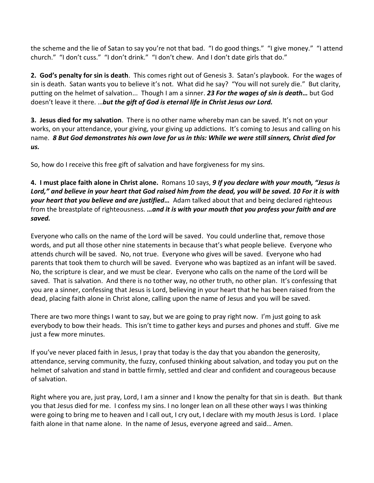the scheme and the lie of Satan to say you're not that bad. "I do good things." "I give money." "I attend church." "I don't cuss." "I don't drink." "I don't chew. And I don't date girls that do."

**2. God's penalty for sin is death**. This comes right out of Genesis 3. Satan's playbook. For the wages of sin is death. Satan wants you to believe it's not. What did he say? "You will not surely die." But clarity, putting on the helmet of salvation... Though I am a sinner. *23 For the wages of sin is death…* but God doesn't leave it there. …*but the gift of God is eternal life in Christ Jesus our Lord.*

**3. Jesus died for my salvation**. There is no other name whereby man can be saved. It's not on your works, on your attendance, your giving, your giving up addictions. It's coming to Jesus and calling on his name. *8 But God demonstrates his own love for us in this: While we were still sinners, Christ died for us.*

So, how do I receive this free gift of salvation and have forgiveness for my sins.

**4. I must place faith alone in Christ alone.** Romans 10 says, *9 If you declare with your mouth, "Jesus is Lord," and believe in your heart that God raised him from the dead, you will be saved. 10 For it is with your heart that you believe and are justified…* Adam talked about that and being declared righteous from the breastplate of righteousness. *…and it is with your mouth that you profess your faith and are saved.*

Everyone who calls on the name of the Lord will be saved. You could underline that, remove those words, and put all those other nine statements in because that's what people believe. Everyone who attends church will be saved. No, not true. Everyone who gives will be saved. Everyone who had parents that took them to church will be saved. Everyone who was baptized as an infant will be saved. No, the scripture is clear, and we must be clear. Everyone who calls on the name of the Lord will be saved. That is salvation. And there is no tother way, no other truth, no other plan. It's confessing that you are a sinner, confessing that Jesus is Lord, believing in your heart that he has been raised from the dead, placing faith alone in Christ alone, calling upon the name of Jesus and you will be saved.

There are two more things I want to say, but we are going to pray right now. I'm just going to ask everybody to bow their heads. This isn't time to gather keys and purses and phones and stuff. Give me just a few more minutes.

If you've never placed faith in Jesus, I pray that today is the day that you abandon the generosity, attendance, serving community, the fuzzy, confused thinking about salvation, and today you put on the helmet of salvation and stand in battle firmly, settled and clear and confident and courageous because of salvation.

Right where you are, just pray, Lord, I am a sinner and I know the penalty for that sin is death. But thank you that Jesus died for me. I confess my sins. I no longer lean on all these other ways I was thinking were going to bring me to heaven and I call out, I cry out, I declare with my mouth Jesus is Lord. I place faith alone in that name alone. In the name of Jesus, everyone agreed and said… Amen.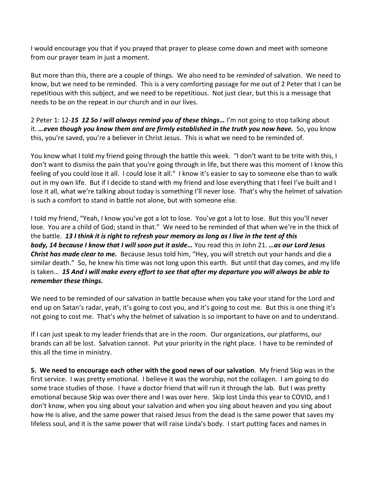I would encourage you that if you prayed that prayer to please come down and meet with someone from our prayer team in just a moment.

But more than this, there are a couple of things. We also need to be *reminded* of salvation. We need to know, but we need to be reminded. This is a very comforting passage for me out of 2 Peter that I can be repetitious with this subject, and we need to be repetitious. Not just clear, but this is a message that needs to be on the repeat in our church and in our lives.

2 Peter 1: 12-*15 12 So I will always remind you of these things…* I'm not going to stop talking about it. *…even though you know them and are firmly established in the truth you now have.* So, you know this, you're saved, you're a believer in Christ Jesus. This is what we need to be reminded of.

You know what I told my friend going through the battle this week. "I don't want to be trite with this, I don't want to dismiss the pain that you're going through in life, but there was this moment of I know this feeling of you could lose it all. I could lose it all." I know it's easier to say to someone else than to walk out in my own life. But if I decide to stand with my friend and lose everything that I feel I've built and I lose it all, what we're talking about today is something I'll never lose. That's why the helmet of salvation is such a comfort to stand in battle not alone, but with someone else.

I told my friend, "Yeah, I know you've got a lot to lose. You've got a lot to lose. But this you'll never lose. You are a child of God; stand in that." We need to be reminded of that when we're in the thick of the battle. *13 I think it is right to refresh your memory as long as I live in the tent of this body, 14 because I know that I will soon put it aside…* You read this in John 21. *…as our Lord Jesus Christ has made clear to me.* Because Jesus told him, "Hey, you will stretch out your hands and die a similar death." So, he knew his time was not long upon this earth. But until that day comes, and my life is taken… *15 And I will make every effort to see that after my departure you will always be able to remember these things.*

We need to be reminded of our salvation in battle because when you take your stand for the Lord and end up on Satan's radar, yeah, it's going to cost you, and it's going to cost me. But this is one thing it's not going to cost me. That's why the helmet of salvation is so important to have on and to understand.

If I can just speak to my leader friends that are in the room. Our organizations, our platforms, our brands can all be lost. Salvation cannot. Put your priority in the right place. I have to be reminded of this all the time in ministry.

**5. We need to encourage each other with the good news of our salvation**. My friend Skip was in the first service. I was pretty emotional. I believe it was the worship, not the collagen. I am going to do some trace studies of those. I have a doctor friend that will run it through the lab. But I was pretty emotional because Skip was over there and I was over here. Skip lost Linda this year to COVID, and I don't know, when you sing about your salvation and when you sing about heaven and you sing about how He is alive, and the same power that raised Jesus from the dead is the same power that saves my lifeless soul, and it is the same power that will raise Linda's body. I start putting faces and names in